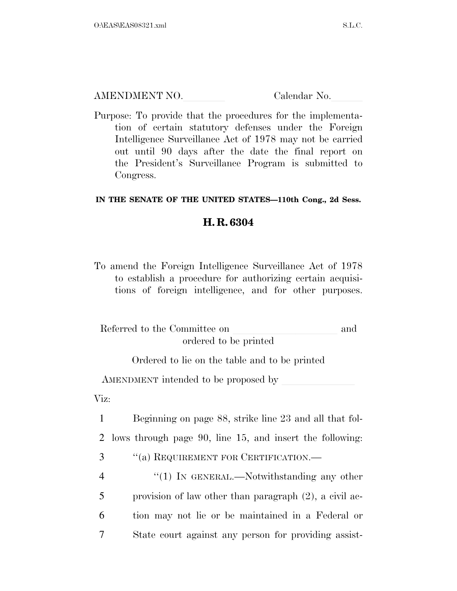AMENDMENT NO. Calendar No.

Purpose: To provide that the procedures for the implementation of certain statutory defenses under the Foreign Intelligence Surveillance Act of 1978 may not be carried out until 90 days after the date the final report on the President's Surveillance Program is submitted to Congress.

## **IN THE SENATE OF THE UNITED STATES—110th Cong., 2d Sess.**

## **H. R. 6304**

To amend the Foreign Intelligence Surveillance Act of 1978 to establish a procedure for authorizing certain acquisitions of foreign intelligence, and for other purposes.

| Referred to the Committee on | and |
|------------------------------|-----|
| ordered to be printed        |     |

Ordered to lie on the table and to be printed

AMENDMENT intended to be proposed by

Viz:

1 Beginning on page 88, strike line 23 and all that fol-2 lows through page 90, line 15, and insert the following:

3 ''(a) REQUIREMENT FOR CERTIFICATION.—

4 "(1) In GENERAL.—Notwithstanding any other provision of law other than paragraph (2), a civil ac- tion may not lie or be maintained in a Federal or State court against any person for providing assist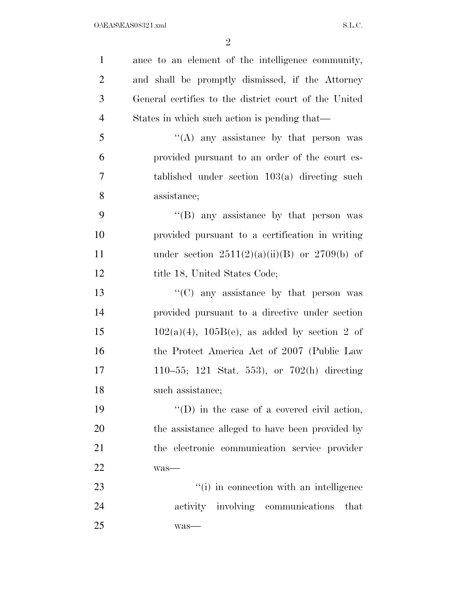| $\mathbf{1}$   | ance to an element of the intelligence community,     |
|----------------|-------------------------------------------------------|
| $\overline{2}$ | and shall be promptly dismissed, if the Attorney      |
| 3              | General certifies to the district court of the United |
| $\overline{4}$ | States in which such action is pending that—          |
| 5              | "(A) any assistance by that person was                |
| 6              | provided pursuant to an order of the court es-        |
| $\overline{7}$ | tablished under section $103(a)$ directing such       |
| 8              | assistance;                                           |
| 9              | "(B) any assistance by that person was                |
| 10             | provided pursuant to a certification in writing       |
| 11             | under section $2511(2)(a)(ii)(B)$ or $2709(b)$ of     |
| 12             | title 18, United States Code;                         |
| 13             | $\lq\lq$ (C) any assistance by that person was        |
| 14             | provided pursuant to a directive under section        |
| 15             | $102(a)(4)$ , $105B(e)$ , as added by section 2 of    |
| 16             | the Protect America Act of 2007 (Public Law           |
| 17             | 110–55; 121 Stat. 553), or $702(h)$ directing         |
| 18             | such assistance;                                      |
| 19             | $\lq\lq$ (D) in the case of a covered civil action,   |
| 20             | the assistance alleged to have been provided by       |
| 21             | the electronic communication service provider         |
| 22             | was-                                                  |
| $23\,$         | "(i) in connection with an intelligence               |
| 24             | activity involving communications<br>that             |
| 25             | was-                                                  |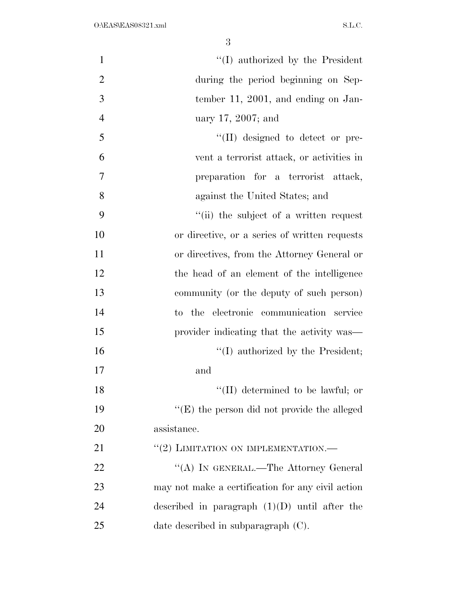$\text{``(I)}$  authorized by the President during the period beginning on Sep- tember 11, 2001, and ending on Jan- uary 17, 2007; and  $\frac{1}{2}$  (II) designed to detect or pre- vent a terrorist attack, or activities in preparation for a terrorist attack, against the United States; and ''(ii) the subject of a written request or directive, or a series of written requests or directives, from the Attorney General or the head of an element of the intelligence community (or the deputy of such person) to the electronic communication service 15 provider indicating that the activity was—  $\text{``(I)}$  authorized by the President; and 18 ''(II) determined to be lawful; or ''(E) the person did not provide the alleged assistance. 21 "(2) LIMITATION ON IMPLEMENTATION.— 22 "(A) IN GENERAL.—The Attorney General may not make a certification for any civil action

date described in subparagraph (C).

described in paragraph (1)(D) until after the